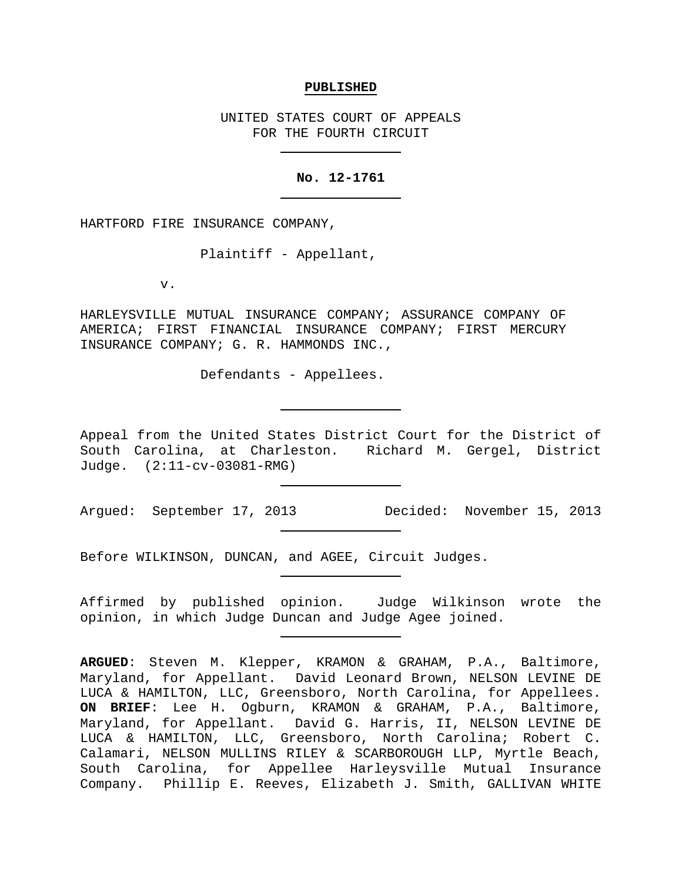#### **PUBLISHED**

UNITED STATES COURT OF APPEALS FOR THE FOURTH CIRCUIT

#### **No. 12-1761**

HARTFORD FIRE INSURANCE COMPANY,

Plaintiff - Appellant,

v.

HARLEYSVILLE MUTUAL INSURANCE COMPANY; ASSURANCE COMPANY OF AMERICA; FIRST FINANCIAL INSURANCE COMPANY; FIRST MERCURY INSURANCE COMPANY; G. R. HAMMONDS INC.,

Defendants - Appellees.

Appeal from the United States District Court for the District of South Carolina, at Charleston. Richard M. Gergel, District Judge. (2:11-cv-03081-RMG)

Argued: September 17, 2013 Decided: November 15, 2013

Before WILKINSON, DUNCAN, and AGEE, Circuit Judges.

Affirmed by published opinion. Judge Wilkinson wrote the opinion, in which Judge Duncan and Judge Agee joined.

**ARGUED**: Steven M. Klepper, KRAMON & GRAHAM, P.A., Baltimore, Maryland, for Appellant. David Leonard Brown, NELSON LEVINE DE LUCA & HAMILTON, LLC, Greensboro, North Carolina, for Appellees. **ON BRIEF**: Lee H. Ogburn, KRAMON & GRAHAM, P.A., Baltimore, Maryland, for Appellant. David G. Harris, II, NELSON LEVINE DE LUCA & HAMILTON, LLC, Greensboro, North Carolina; Robert C. Calamari, NELSON MULLINS RILEY & SCARBOROUGH LLP, Myrtle Beach, South Carolina, for Appellee Harleysville Mutual Insurance Company. Phillip E. Reeves, Elizabeth J. Smith, GALLIVAN WHITE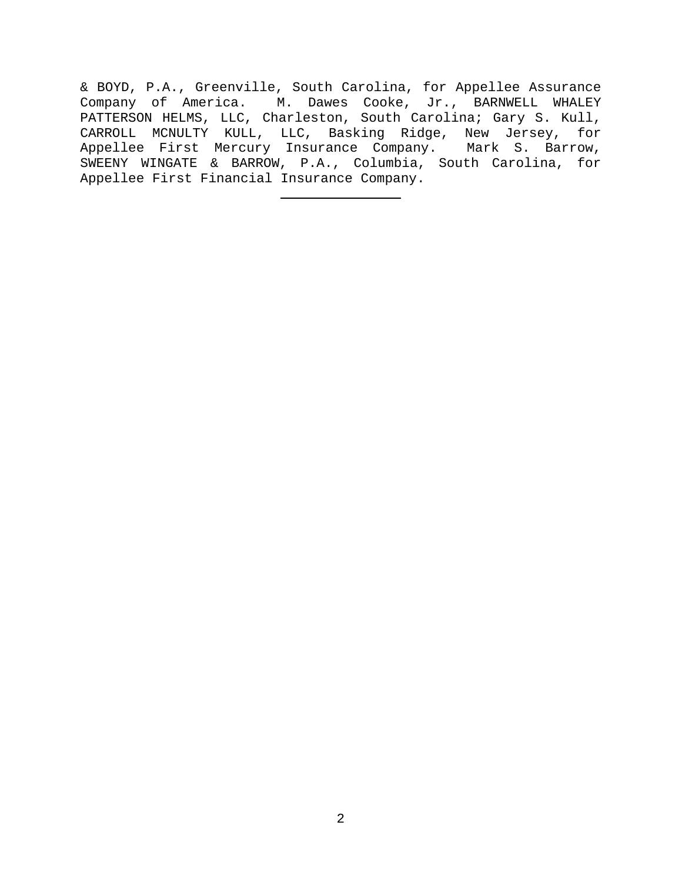& BOYD, P.A., Greenville, South Carolina, for Appellee Assurance Company of America. M. Dawes Cooke, Jr., BARNWELL WHALEY PATTERSON HELMS, LLC, Charleston, South Carolina; Gary S. Kull, CARROLL MCNULTY KULL, LLC, Basking Ridge, New Jersey, for Appellee First Mercury Insurance Company. Mark S. Barrow, SWEENY WINGATE & BARROW, P.A., Columbia, South Carolina, for Appellee First Financial Insurance Company.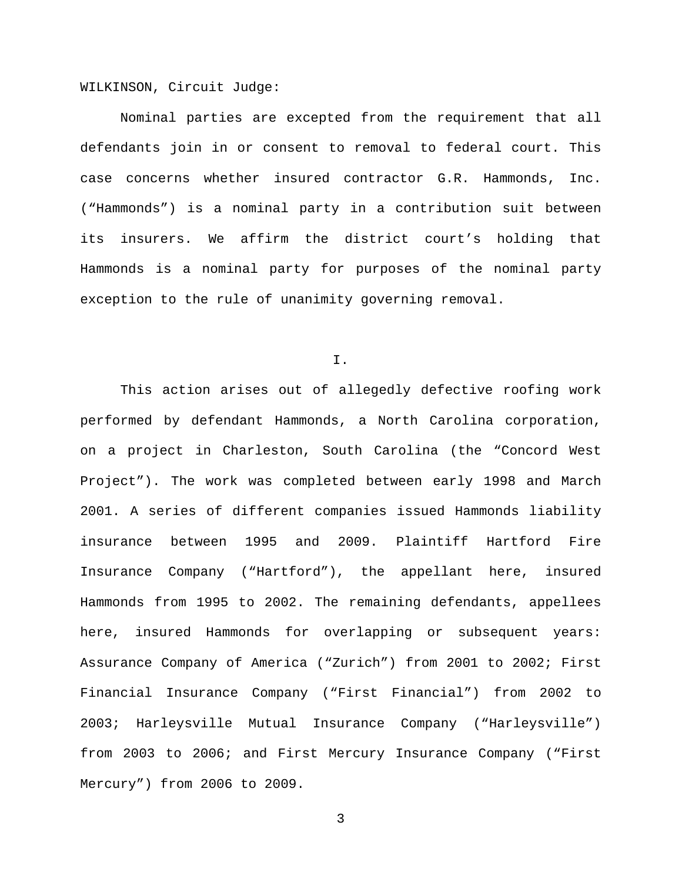WILKINSON, Circuit Judge:

Nominal parties are excepted from the requirement that all defendants join in or consent to removal to federal court. This case concerns whether insured contractor G.R. Hammonds, Inc. ("Hammonds") is a nominal party in a contribution suit between its insurers. We affirm the district court's holding that Hammonds is a nominal party for purposes of the nominal party exception to the rule of unanimity governing removal.

I.

This action arises out of allegedly defective roofing work performed by defendant Hammonds, a North Carolina corporation, on a project in Charleston, South Carolina (the "Concord West Project"). The work was completed between early 1998 and March 2001. A series of different companies issued Hammonds liability insurance between 1995 and 2009. Plaintiff Hartford Fire Insurance Company ("Hartford"), the appellant here, insured Hammonds from 1995 to 2002. The remaining defendants, appellees here, insured Hammonds for overlapping or subsequent years: Assurance Company of America ("Zurich") from 2001 to 2002; First Financial Insurance Company ("First Financial") from 2002 to 2003; Harleysville Mutual Insurance Company ("Harleysville") from 2003 to 2006; and First Mercury Insurance Company ("First Mercury") from 2006 to 2009.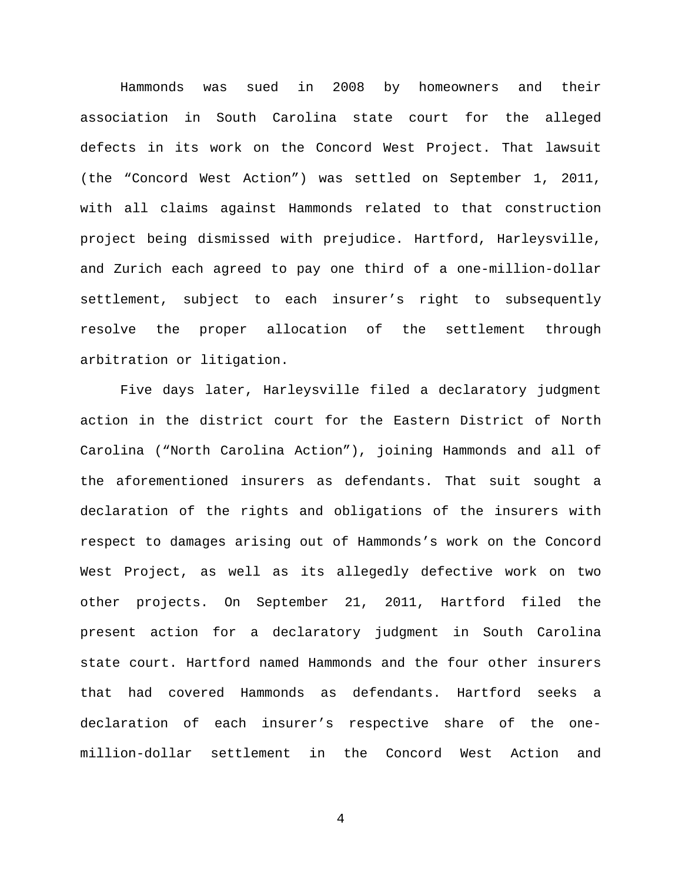Hammonds was sued in 2008 by homeowners and their association in South Carolina state court for the alleged defects in its work on the Concord West Project. That lawsuit (the "Concord West Action") was settled on September 1, 2011, with all claims against Hammonds related to that construction project being dismissed with prejudice. Hartford, Harleysville, and Zurich each agreed to pay one third of a one-million-dollar settlement, subject to each insurer's right to subsequently resolve the proper allocation of the settlement through arbitration or litigation.

Five days later, Harleysville filed a declaratory judgment action in the district court for the Eastern District of North Carolina ("North Carolina Action"), joining Hammonds and all of the aforementioned insurers as defendants. That suit sought a declaration of the rights and obligations of the insurers with respect to damages arising out of Hammonds's work on the Concord West Project, as well as its allegedly defective work on two other projects. On September 21, 2011, Hartford filed the present action for a declaratory judgment in South Carolina state court. Hartford named Hammonds and the four other insurers that had covered Hammonds as defendants. Hartford seeks a declaration of each insurer's respective share of the onemillion-dollar settlement in the Concord West Action and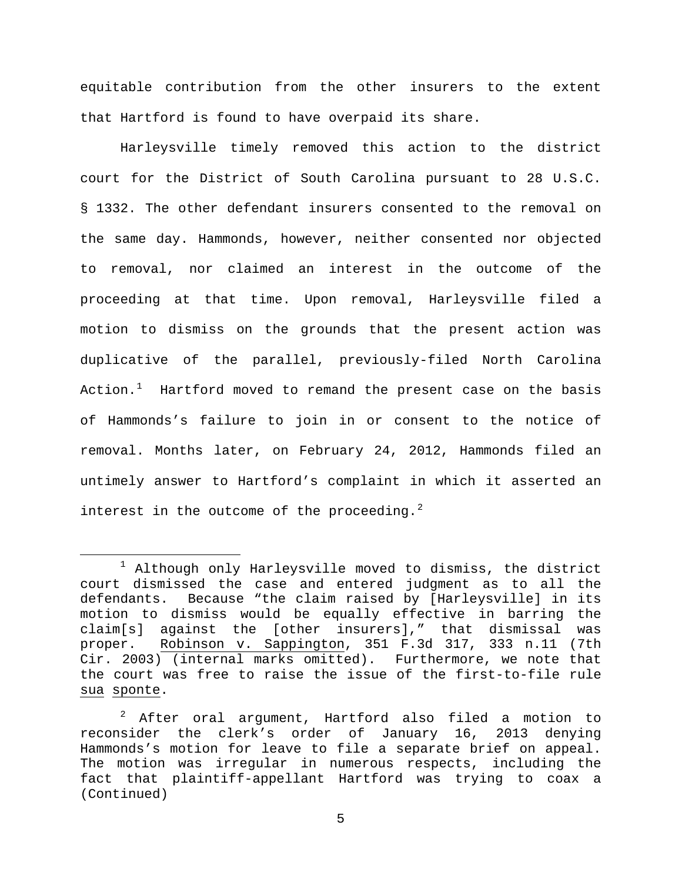equitable contribution from the other insurers to the extent that Hartford is found to have overpaid its share.

Harleysville timely removed this action to the district court for the District of South Carolina pursuant to 28 U.S.C. § 1332. The other defendant insurers consented to the removal on the same day. Hammonds, however, neither consented nor objected to removal, nor claimed an interest in the outcome of the proceeding at that time. Upon removal, Harleysville filed a motion to dismiss on the grounds that the present action was duplicative of the parallel, previously-filed North Carolina Action.<sup>[1](#page-4-0)</sup> Hartford moved to remand the present case on the basis of Hammonds's failure to join in or consent to the notice of removal. Months later, on February 24, 2012, Hammonds filed an untimely answer to Hartford's complaint in which it asserted an interest in the outcome of the proceeding.  $2^2$  $2^2$ 

<span id="page-4-0"></span> $1$  Although only Harleysville moved to dismiss, the district court dismissed the case and entered judgment as to all the defendants. Because "the claim raised by [Harleysville] in its motion to dismiss would be equally effective in barring the claim[s] against the [other insurers]," that dismissal was proper. Robinson v. Sappington, 351 F.3d 317, 333 n.11 (7th Cir. 2003) (internal marks omitted). Furthermore, we note that the court was free to raise the issue of the first-to-file rule sua sponte.

<span id="page-4-1"></span><sup>2</sup> After oral argument, Hartford also filed a motion to reconsider the clerk's order of January 16, 2013 denying Hammonds's motion for leave to file a separate brief on appeal. The motion was irregular in numerous respects, including the fact that plaintiff-appellant Hartford was trying to coax a (Continued)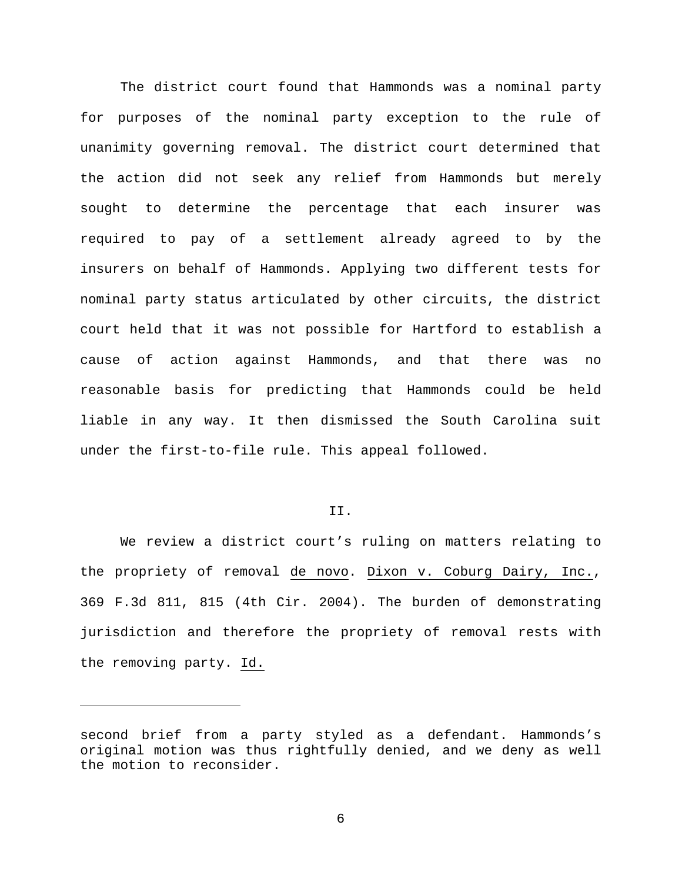The district court found that Hammonds was a nominal party for purposes of the nominal party exception to the rule of unanimity governing removal. The district court determined that the action did not seek any relief from Hammonds but merely sought to determine the percentage that each insurer was required to pay of a settlement already agreed to by the insurers on behalf of Hammonds. Applying two different tests for nominal party status articulated by other circuits, the district court held that it was not possible for Hartford to establish a cause of action against Hammonds, and that there was no reasonable basis for predicting that Hammonds could be held liable in any way. It then dismissed the South Carolina suit under the first-to-file rule. This appeal followed.

#### II.

We review a district court's ruling on matters relating to the propriety of removal de novo. Dixon v. Coburg Dairy, Inc., 369 F.3d 811, 815 (4th Cir. 2004). The burden of demonstrating jurisdiction and therefore the propriety of removal rests with the removing party. Id.

ī

second brief from a party styled as a defendant. Hammonds's original motion was thus rightfully denied, and we deny as well the motion to reconsider.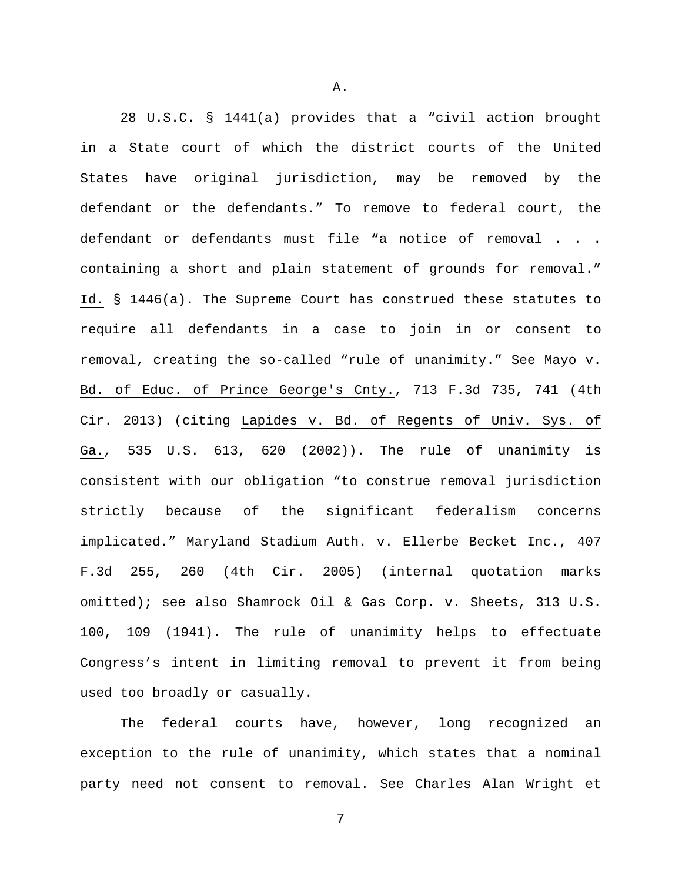28 U.S.C. § 1441(a) provides that a "civil action brought in a State court of which the district courts of the United States have original jurisdiction, may be removed by the defendant or the defendants." To remove to federal court, the defendant or defendants must file "a notice of removal . . . containing a short and plain statement of grounds for removal." Id. § 1446(a). The Supreme Court has construed these statutes to require all defendants in a case to join in or consent to removal, creating the so-called "rule of unanimity." See Mayo v. Bd. of Educ. of Prince George's Cnty., 713 F.3d 735, 741 (4th Cir. 2013) (citing Lapides v. Bd. of Regents of Univ. Sys. of Ga.*,* 535 U.S. 613, 620 (2002)). The rule of unanimity is consistent with our obligation "to construe removal jurisdiction strictly because of the significant federalism concerns implicated." Maryland Stadium Auth. v. Ellerbe Becket Inc., 407 F.3d 255, 260 (4th Cir. 2005) (internal quotation marks omitted); see also Shamrock Oil & Gas Corp. v. Sheets, 313 U.S. 100, 109 (1941). The rule of unanimity helps to effectuate Congress's intent in limiting removal to prevent it from being used too broadly or casually.

The federal courts have, however, long recognized an exception to the rule of unanimity, which states that a nominal party need not consent to removal. See Charles Alan Wright et

7

A.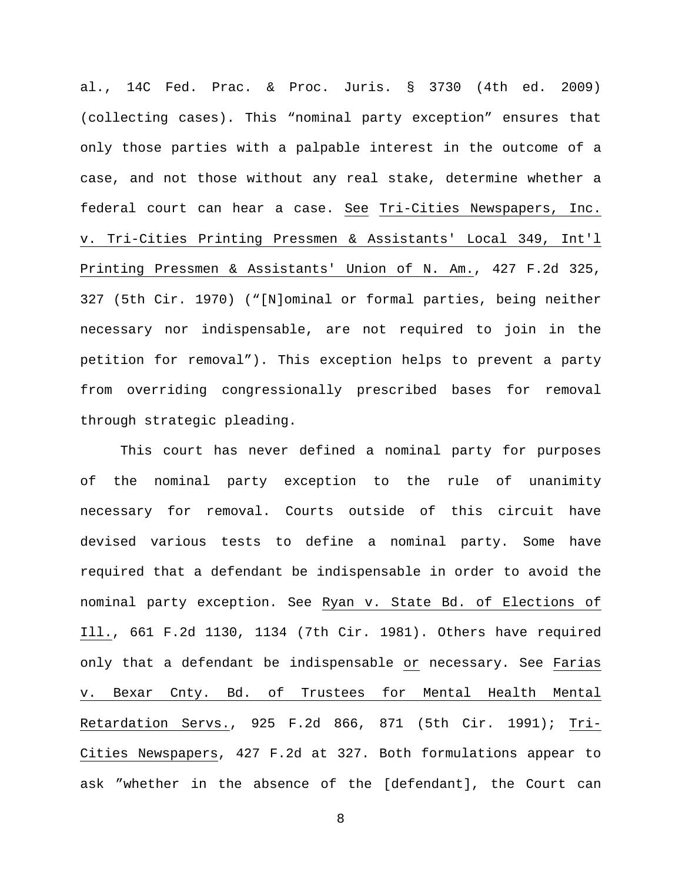al., 14C Fed. Prac. & Proc. Juris. § 3730 (4th ed. 2009) (collecting cases). This "nominal party exception" ensures that only those parties with a palpable interest in the outcome of a case, and not those without any real stake, determine whether a federal court can hear a case. See Tri-Cities Newspapers, Inc. v. Tri-Cities Printing Pressmen & Assistants' Local 349, Int'l Printing Pressmen & Assistants' Union of N. Am., 427 F.2d 325, 327 (5th Cir. 1970) ("[N]ominal or formal parties, being neither necessary nor indispensable, are not required to join in the petition for removal"). This exception helps to prevent a party from overriding congressionally prescribed bases for removal through strategic pleading.

This court has never defined a nominal party for purposes of the nominal party exception to the rule of unanimity necessary for removal. Courts outside of this circuit have devised various tests to define a nominal party. Some have required that a defendant be indispensable in order to avoid the nominal party exception. See Ryan v. State Bd. of Elections of Ill., 661 F.2d 1130, 1134 (7th Cir. 1981). Others have required only that a defendant be indispensable or necessary. See Farias v. Bexar Cnty. Bd. of Trustees for Mental Health Mental Retardation Servs., 925 F.2d 866, 871 (5th Cir. 1991); Tri-Cities Newspapers, 427 F.2d at 327. Both formulations appear to ask "whether in the absence of the [defendant], the Court can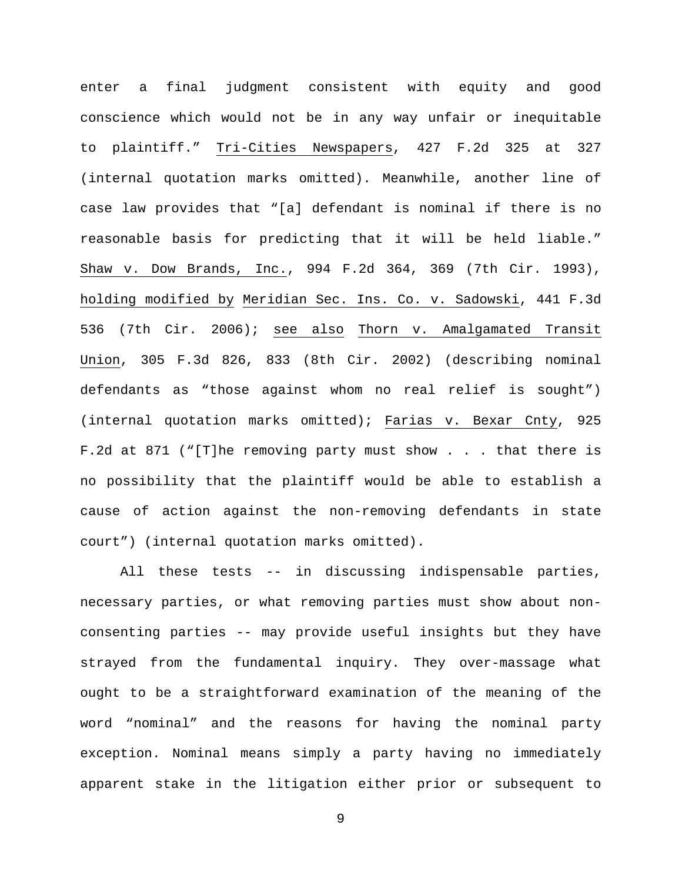enter a final judgment consistent with equity and good conscience which would not be in any way unfair or inequitable to plaintiff." Tri-Cities Newspapers, 427 F.2d 325 at 327 (internal quotation marks omitted). Meanwhile, another line of case law provides that "[a] defendant is nominal if there is no reasonable basis for predicting that it will be held liable." Shaw v. Dow Brands, Inc., 994 F.2d 364, 369 (7th Cir. 1993), holding modified by Meridian Sec. Ins. Co. v. Sadowski, 441 F.3d 536 (7th Cir. 2006); see also Thorn v. Amalgamated Transit Union, 305 F.3d 826, 833 (8th Cir. 2002) (describing nominal defendants as "those against whom no real relief is sought") (internal quotation marks omitted); Farias v. Bexar Cnty, 925 F.2d at 871 ("[T]he removing party must show . . . that there is no possibility that the plaintiff would be able to establish a cause of action against the non-removing defendants in state court") (internal quotation marks omitted).

All these tests -- in discussing indispensable parties, necessary parties, or what removing parties must show about nonconsenting parties -- may provide useful insights but they have strayed from the fundamental inquiry. They over-massage what ought to be a straightforward examination of the meaning of the word "nominal" and the reasons for having the nominal party exception. Nominal means simply a party having no immediately apparent stake in the litigation either prior or subsequent to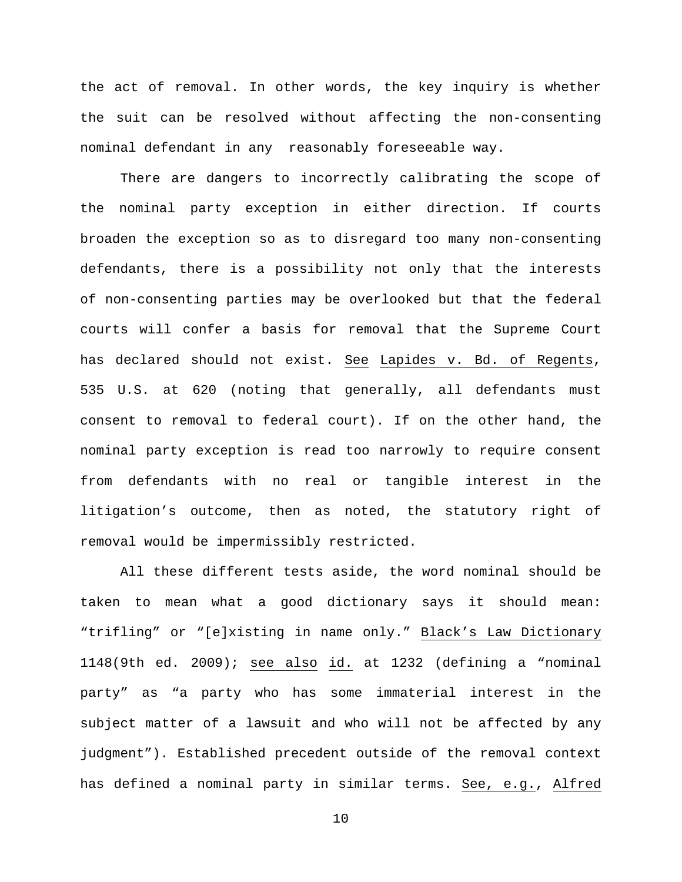the act of removal. In other words, the key inquiry is whether the suit can be resolved without affecting the non-consenting nominal defendant in any reasonably foreseeable way.

There are dangers to incorrectly calibrating the scope of the nominal party exception in either direction. If courts broaden the exception so as to disregard too many non-consenting defendants, there is a possibility not only that the interests of non-consenting parties may be overlooked but that the federal courts will confer a basis for removal that the Supreme Court has declared should not exist. See Lapides v. Bd. of Regents, 535 U.S. at 620 (noting that generally, all defendants must consent to removal to federal court). If on the other hand, the nominal party exception is read too narrowly to require consent from defendants with no real or tangible interest in the litigation's outcome, then as noted, the statutory right of removal would be impermissibly restricted.

All these different tests aside, the word nominal should be taken to mean what a good dictionary says it should mean: "trifling" or "[e]xisting in name only." Black's Law Dictionary 1148(9th ed. 2009); see also id. at 1232 (defining a "nominal party" as "a party who has some immaterial interest in the subject matter of a lawsuit and who will not be affected by any judgment"). Established precedent outside of the removal context has defined a nominal party in similar terms. See, e.g., Alfred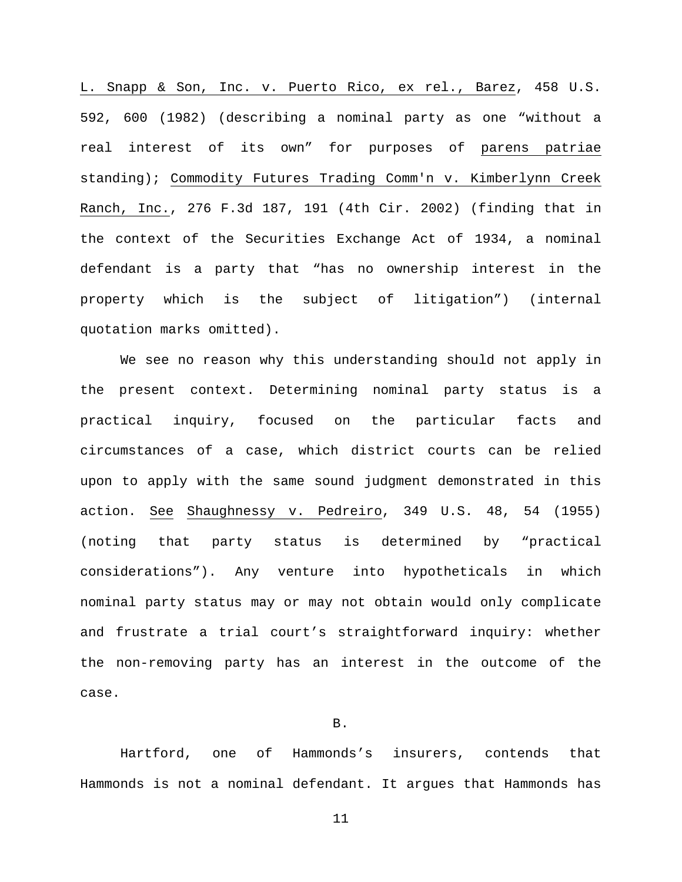L. Snapp & Son, Inc. v. Puerto Rico, ex rel., Barez, 458 U.S. 592, 600 (1982) (describing a nominal party as one "without a real interest of its own" for purposes of parens patriae standing); Commodity Futures Trading Comm'n v. Kimberlynn Creek Ranch, Inc., 276 F.3d 187, 191 (4th Cir. 2002) (finding that in the context of the Securities Exchange Act of 1934, a nominal defendant is a party that "has no ownership interest in the property which is the subject of litigation") (internal quotation marks omitted).

We see no reason why this understanding should not apply in the present context. Determining nominal party status is a practical inquiry, focused on the particular facts and circumstances of a case, which district courts can be relied upon to apply with the same sound judgment demonstrated in this action. See Shaughnessy v. Pedreiro, 349 U.S. 48, 54 (1955) (noting that party status is determined by "practical considerations"). Any venture into hypotheticals in which nominal party status may or may not obtain would only complicate and frustrate a trial court's straightforward inquiry: whether the non-removing party has an interest in the outcome of the case.

## B.

Hartford, one of Hammonds's insurers, contends that Hammonds is not a nominal defendant. It argues that Hammonds has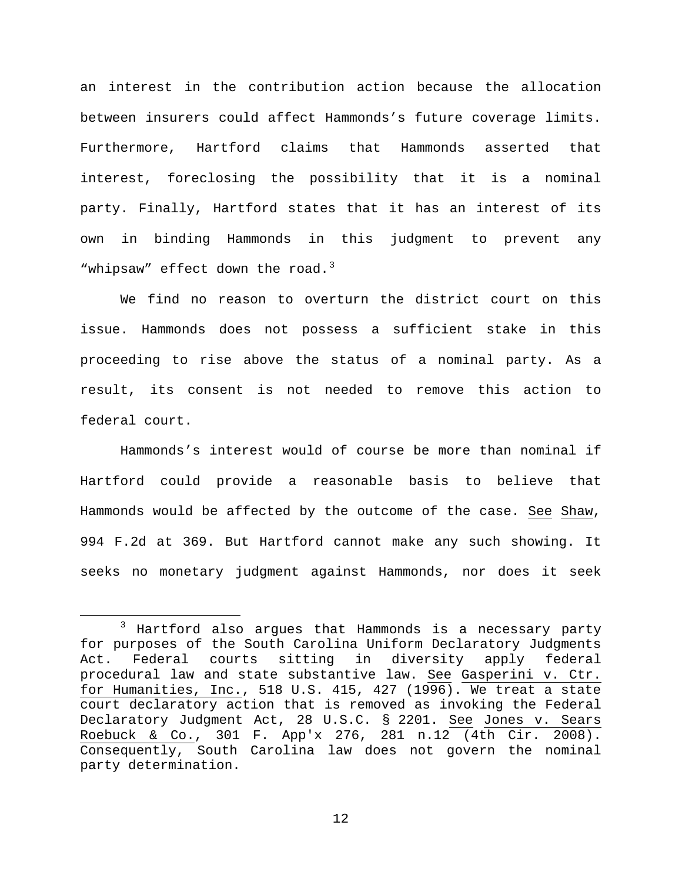an interest in the contribution action because the allocation between insurers could affect Hammonds's future coverage limits. Furthermore, Hartford claims that Hammonds asserted that interest, foreclosing the possibility that it is a nominal party. Finally, Hartford states that it has an interest of its own in binding Hammonds in this judgment to prevent any "whipsaw" effect down the road.<sup>[3](#page-11-0)</sup>

We find no reason to overturn the district court on this issue. Hammonds does not possess a sufficient stake in this proceeding to rise above the status of a nominal party. As a result, its consent is not needed to remove this action to federal court.

Hammonds's interest would of course be more than nominal if Hartford could provide a reasonable basis to believe that Hammonds would be affected by the outcome of the case. See Shaw, 994 F.2d at 369. But Hartford cannot make any such showing. It seeks no monetary judgment against Hammonds, nor does it seek

<span id="page-11-0"></span><sup>&</sup>lt;sup>3</sup> Hartford also argues that Hammonds is a necessary party for purposes of the South Carolina Uniform Declaratory Judgments Act. Federal courts sitting in diversity apply federal procedural law and state substantive law. See Gasperini v. Ctr. for Humanities, Inc., 518 U.S. 415, 427 (1996). We treat a state court declaratory action that is removed as invoking the Federal Declaratory Judgment Act, 28 U.S.C. § 2201. See Jones v. Sears Roebuck & Co., 301 F. App'x 276, 281 n.12 (4th Cir. 2008). Consequently, South Carolina law does not govern the nominal party determination.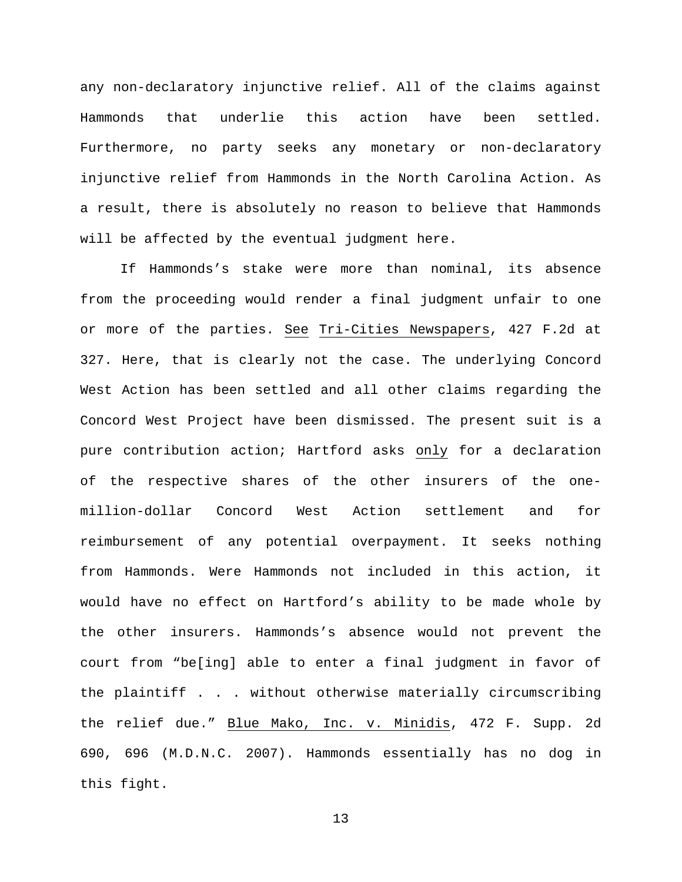any non-declaratory injunctive relief. All of the claims against Hammonds that underlie this action have been settled. Furthermore, no party seeks any monetary or non-declaratory injunctive relief from Hammonds in the North Carolina Action. As a result, there is absolutely no reason to believe that Hammonds will be affected by the eventual judgment here.

If Hammonds's stake were more than nominal, its absence from the proceeding would render a final judgment unfair to one or more of the parties. See Tri-Cities Newspapers, 427 F.2d at 327. Here, that is clearly not the case. The underlying Concord West Action has been settled and all other claims regarding the Concord West Project have been dismissed. The present suit is a pure contribution action; Hartford asks only for a declaration of the respective shares of the other insurers of the onemillion-dollar Concord West Action settlement and for reimbursement of any potential overpayment. It seeks nothing from Hammonds. Were Hammonds not included in this action, it would have no effect on Hartford's ability to be made whole by the other insurers. Hammonds's absence would not prevent the court from "be[ing] able to enter a final judgment in favor of the plaintiff . . . without otherwise materially circumscribing the relief due." Blue Mako, Inc. v. Minidis, 472 F. Supp. 2d 690, 696 (M.D.N.C. 2007). Hammonds essentially has no dog in this fight.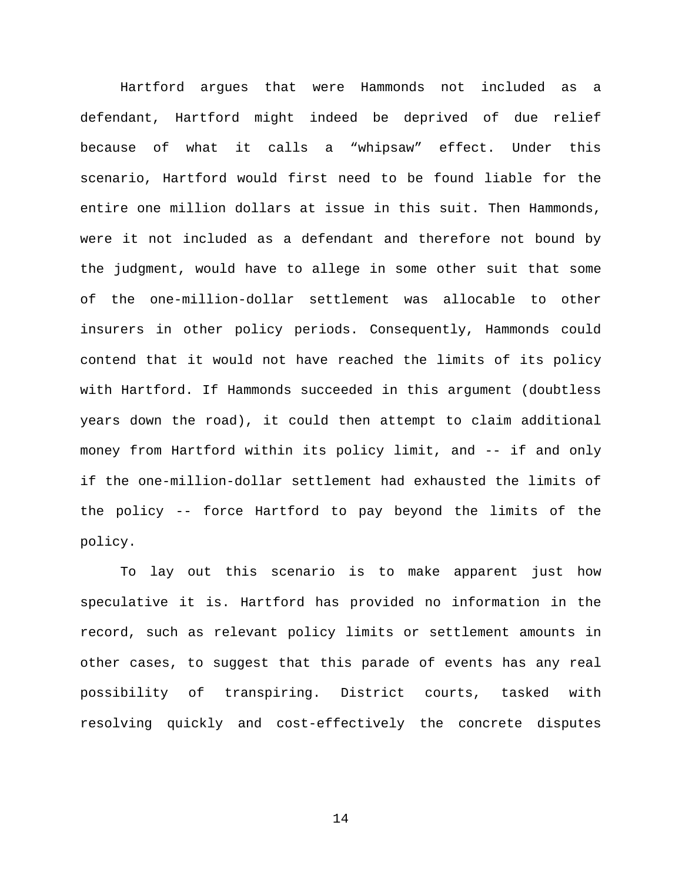Hartford argues that were Hammonds not included as a defendant, Hartford might indeed be deprived of due relief because of what it calls a "whipsaw" effect. Under this scenario, Hartford would first need to be found liable for the entire one million dollars at issue in this suit. Then Hammonds, were it not included as a defendant and therefore not bound by the judgment, would have to allege in some other suit that some of the one-million-dollar settlement was allocable to other insurers in other policy periods. Consequently, Hammonds could contend that it would not have reached the limits of its policy with Hartford. If Hammonds succeeded in this argument (doubtless years down the road), it could then attempt to claim additional money from Hartford within its policy limit, and -- if and only if the one-million-dollar settlement had exhausted the limits of the policy -- force Hartford to pay beyond the limits of the policy.

To lay out this scenario is to make apparent just how speculative it is. Hartford has provided no information in the record, such as relevant policy limits or settlement amounts in other cases, to suggest that this parade of events has any real possibility of transpiring. District courts, tasked with resolving quickly and cost-effectively the concrete disputes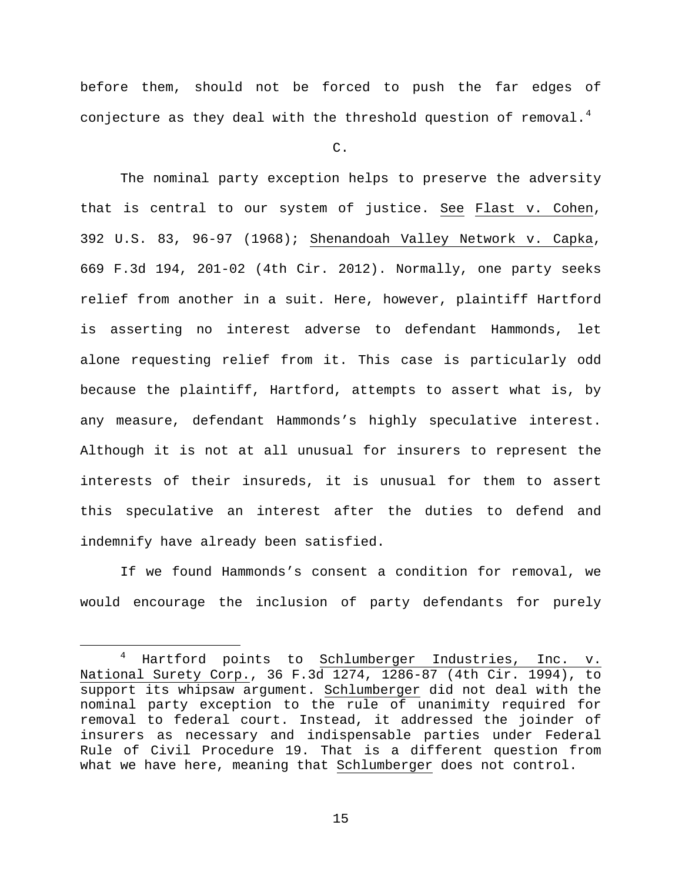before them, should not be forced to push the far edges of conjecture as they deal with the threshold question of removal.<sup>[4](#page-14-0)</sup>

C.

The nominal party exception helps to preserve the adversity that is central to our system of justice. See Flast v. Cohen, 392 U.S. 83, 96-97 (1968); Shenandoah Valley Network v. Capka, 669 F.3d 194, 201-02 (4th Cir. 2012). Normally, one party seeks relief from another in a suit. Here, however, plaintiff Hartford is asserting no interest adverse to defendant Hammonds, let alone requesting relief from it. This case is particularly odd because the plaintiff, Hartford, attempts to assert what is, by any measure, defendant Hammonds's highly speculative interest. Although it is not at all unusual for insurers to represent the interests of their insureds, it is unusual for them to assert this speculative an interest after the duties to defend and indemnify have already been satisfied.

If we found Hammonds's consent a condition for removal, we would encourage the inclusion of party defendants for purely

<span id="page-14-0"></span> <sup>4</sup> Hartford points to Schlumberger Industries, Inc. v. National Surety Corp., 36 F.3d 1274, 1286-87 (4th Cir. 1994), to support its whipsaw argument. Schlumberger did not deal with the nominal party exception to the rule of unanimity required for removal to federal court. Instead, it addressed the joinder of insurers as necessary and indispensable parties under Federal Rule of Civil Procedure 19. That is a different question from what we have here, meaning that Schlumberger does not control.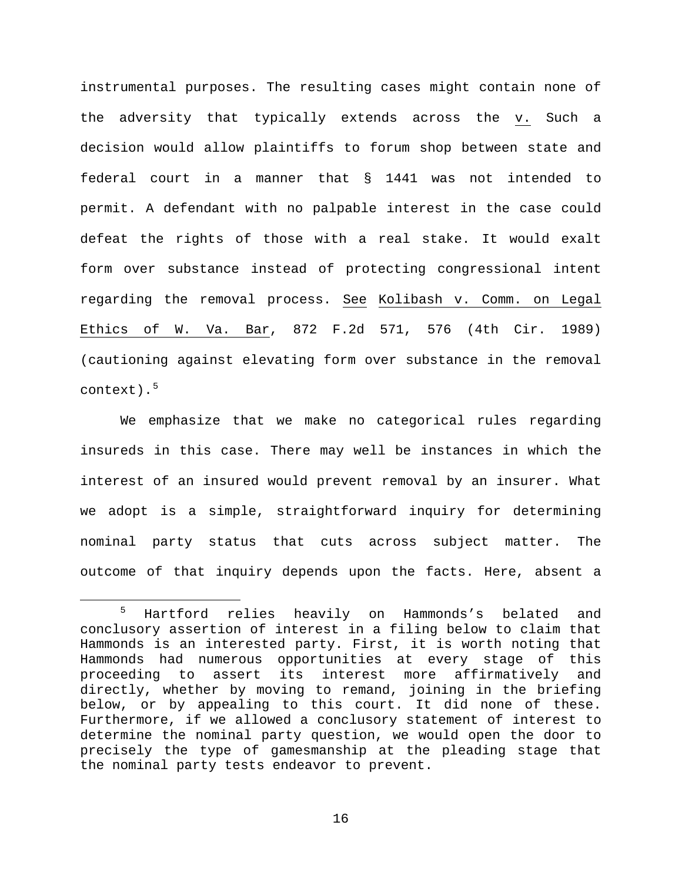instrumental purposes. The resulting cases might contain none of the adversity that typically extends across the v. Such a decision would allow plaintiffs to forum shop between state and federal court in a manner that § 1441 was not intended to permit. A defendant with no palpable interest in the case could defeat the rights of those with a real stake. It would exalt form over substance instead of protecting congressional intent regarding the removal process. See Kolibash v. Comm. on Legal Ethics of W. Va. Bar, 872 F.2d 571, 576 (4th Cir. 1989) (cautioning against elevating form over substance in the removal context).[5](#page-15-0)

We emphasize that we make no categorical rules regarding insureds in this case. There may well be instances in which the interest of an insured would prevent removal by an insurer. What we adopt is a simple, straightforward inquiry for determining nominal party status that cuts across subject matter. The outcome of that inquiry depends upon the facts. Here, absent a

<span id="page-15-0"></span> <sup>5</sup> Hartford relies heavily on Hammonds's belated and conclusory assertion of interest in a filing below to claim that Hammonds is an interested party. First, it is worth noting that Hammonds had numerous opportunities at every stage of this proceeding to assert its interest more affirmatively and directly, whether by moving to remand, joining in the briefing below, or by appealing to this court. It did none of these. Furthermore, if we allowed a conclusory statement of interest to determine the nominal party question, we would open the door to precisely the type of gamesmanship at the pleading stage that the nominal party tests endeavor to prevent.